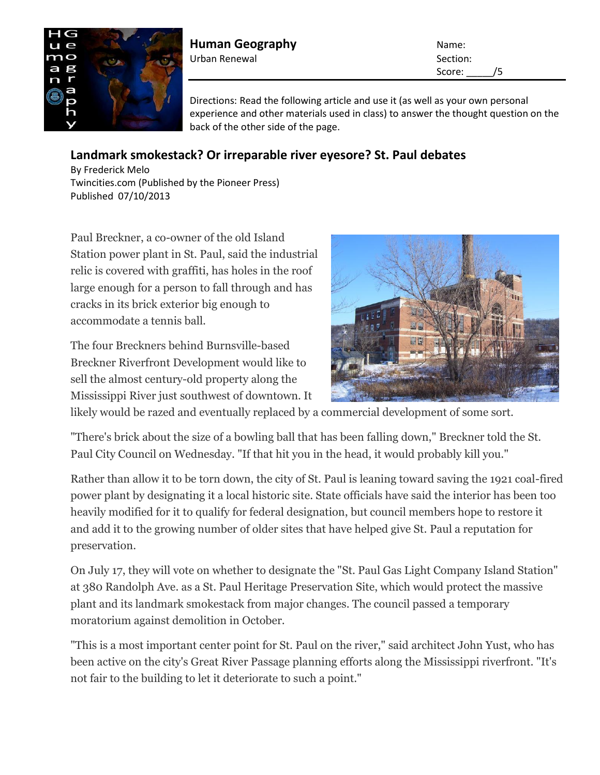

**Human Geography** Name: Urban Renewal **Section:** Section:

Score: /5

Directions: Read the following article and use it (as well as your own personal experience and other materials used in class) to answer the thought question on the back of the other side of the page.

## **Landmark smokestack? Or irreparable river eyesore? St. Paul debates**

[By Frederick Melo](mailto:fmelo@pioneerpress.com?subject=TwinCities.com:) Twincities.com (Published by the Pioneer Press) Published 07/10/2013

Paul Breckner, a co-owner of the old Island Station power plant in St. Paul, said the industrial relic is covered with graffiti, has holes in the roof large enough for a person to fall through and has cracks in its brick exterior big enough to accommodate a tennis ball.

The four Breckners behind Burnsville-based Breckner Riverfront Development would like to sell the almost century-old property along the Mississippi River just southwest of downtown. It



likely would be razed and eventually replaced by a commercial development of some sort.

"There's brick about the size of a bowling ball that has been falling down," Breckner told the St. Paul City Council on Wednesday. "If that hit you in the head, it would probably kill you."

Rather than allow it to be torn down, the city of St. Paul is leaning toward saving the 1921 coal-fired power plant by designating it a local historic site. State officials have said the interior has been too heavily modified for it to qualify for federal designation, but council members hope to restore it and add it to the growing number of older sites that have helped give St. Paul a reputation for preservation.

On July 17, they will vote on whether to designate the "St. Paul Gas Light Company Island Station" at 380 Randolph Ave. as a St. Paul Heritage Preservation Site, which would protect the massive plant and its landmark smokestack from major changes. The council passed a temporary moratorium against demolition in October.

"This is a most important center point for St. Paul on the river," said architect John Yust, who has been active on the city's Great River Passage planning efforts along the Mississippi riverfront. "It's not fair to the building to let it deteriorate to such a point."